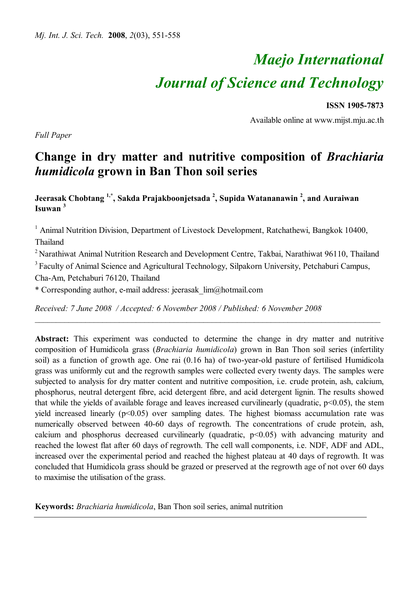# *Maejo International Journal of Science and Technology*

**ISSN 1905-7873**

Available online at www.mijst.mju.ac.th

*Full Paper*

# **Change in dry matter and nutritive composition of** *Brachiaria humidicola* **grown in Ban Thon soil series**

**Jeerasak Chobtang 1,\* , Sakda Prajakboonjetsada <sup>2</sup> , Supida Watananawin <sup>2</sup> , and Auraiwan Isuwan <sup>3</sup>**

<sup>1</sup> Animal Nutrition Division, Department of Livestock Development, Ratchathewi, Bangkok 10400, Thailand

<sup>2</sup> Narathiwat Animal Nutrition Research and Development Centre, Takbai, Narathiwat 96110, Thailand <sup>3</sup> Faculty of Animal Science and Agricultural Technology, Silpakorn University, Petchaburi Campus,

*\_\_\_\_\_\_\_\_\_\_\_\_\_\_\_\_\_\_\_\_\_\_\_\_\_\_\_\_\_\_\_\_\_\_\_\_\_\_\_\_\_\_\_\_\_\_\_\_\_\_\_\_\_\_\_\_\_\_\_\_\_\_\_\_\_\_\_\_\_\_\_\_\_\_\_\_\_\_\_\_\_\_*

Cha-Am, Petchaburi 76120, Thailand

\* Corresponding author, e-mail address: jeerasak\_lim@hotmail.com

*Received: 7 June 2008 / Accepted: 6 November 2008 / Published: 6 November 2008* 

**Abstract:** This experiment was conducted to determine the change in dry matter and nutritive composition of Humidicola grass (*Brachiaria humidicola*) grown in Ban Thon soil series (infertility soil) as a function of growth age. One rai (0.16 ha) of two-year-old pasture of fertilised Humidicola grass was uniformly cut and the regrowth samples were collected every twenty days. The samples were subjected to analysis for dry matter content and nutritive composition, i.e. crude protein, ash, calcium, phosphorus, neutral detergent fibre, acid detergent fibre, and acid detergent lignin. The results showed that while the yields of available forage and leaves increased curvilinearly (quadratic,  $p<0.05$ ), the stem yield increased linearly  $(p<0.05)$  over sampling dates. The highest biomass accumulation rate was numerically observed between 40-60 days of regrowth. The concentrations of crude protein, ash, calcium and phosphorus decreased curvilinearly (quadratic, p<0.05) with advancing maturity and reached the lowest flat after 60 days of regrowth. The cell wall components, i.e. NDF, ADF and ADL, increased over the experimental period and reached the highest plateau at 40 days of regrowth. It was concluded that Humidicola grass should be grazed or preserved at the regrowth age of not over 60 days to maximise the utilisation of the grass.

**Keywords:** *Brachiaria humidicola*, Ban Thon soil series, animal nutrition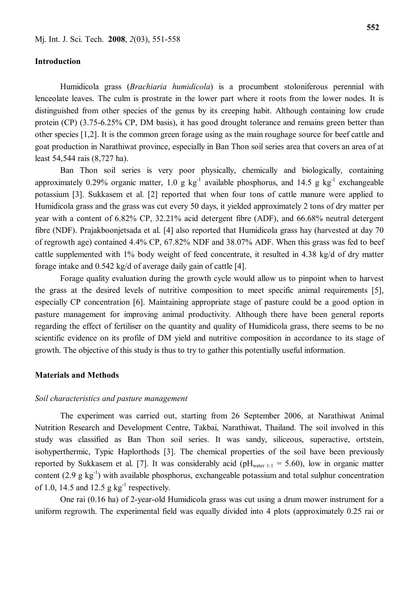### **Introduction**

Humidicola grass (*Brachiaria humidicola*) is a procumbent stoloniferous perennial with lenceolate leaves. The culm is prostrate in the lower part where it roots from the lower nodes. It is distinguished from other species of the genus by its creeping habit. Although containing low crude protein (CP) (3.75-6.25% CP, DM basis), it has good drought tolerance and remains green better than other species [1,2]. It is the common green forage using as the main roughage source for beef cattle and goat production in Narathiwat province, especially in Ban Thon soil series area that covers an area of at least 54,544 rais (8,727 ha).

Ban Thon soil series is very poor physically, chemically and biologically, containing approximately 0.29% organic matter, 1.0 g  $kg^{-1}$  available phosphorus, and 14.5 g  $kg^{-1}$  exchangeable potassium [3]. Sukkasem et al. [2] reported that when four tons of cattle manure were applied to Humidicola grass and the grass was cut every 50 days, it yielded approximately 2 tons of dry matter per year with a content of 6.82% CP, 32.21% acid detergent fibre (ADF), and 66.68% neutral detergent fibre (NDF). Prajakboonjetsada et al. [4] also reported that Humidicola grass hay (harvested at day 70 of regrowth age) contained 4.4% CP, 67.82% NDF and 38.07% ADF. When this grass was fed to beef cattle supplemented with 1% body weight of feed concentrate, it resulted in 4.38 kg/d of dry matter forage intake and 0.542 kg/d of average daily gain of cattle [4].

Forage quality evaluation during the growth cycle would allow us to pinpoint when to harvest the grass at the desired levels of nutritive composition to meet specific animal requirements [5], especially CP concentration [6]. Maintaining appropriate stage of pasture could be a good option in pasture management for improving animal productivity. Although there have been general reports regarding the effect of fertiliser on the quantity and quality of Humidicola grass, there seems to be no scientific evidence on its profile of DM yield and nutritive composition in accordance to its stage of growth. The objective of this study is thus to try to gather this potentially useful information.

#### **Materials and Methods**

#### *Soil characteristics and pasture management*

The experiment was carried out, starting from 26 September 2006, at Narathiwat Animal Nutrition Research and Development Centre, Takbai, Narathiwat, Thailand. The soil involved in this study was classified as Ban Thon soil series. It was sandy, siliceous, superactive, ortstein, isohyperthermic, Typic Haplorthods [3]. The chemical properties of the soil have been previously reported by Sukkasem et al. [7]. It was considerably acid (pH<sub>water 1:1</sub> = 5.60), low in organic matter content  $(2.9 \text{ g kg}^{-1})$  with available phosphorus, exchangeable potassium and total sulphur concentration of 1.0, 14.5 and 12.5  $g \text{ kg}^{-1}$  respectively.

One rai (0.16 ha) of 2-year-old Humidicola grass was cut using a drum mower instrument for a uniform regrowth. The experimental field was equally divided into 4 plots (approximately 0.25 rai or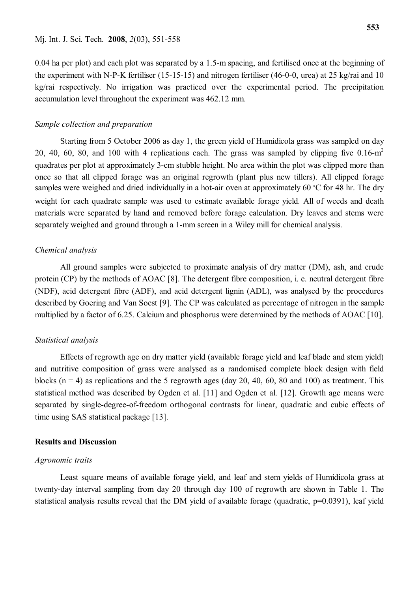0.04 ha per plot) and each plot was separated by a 1.5-m spacing, and fertilised once at the beginning of the experiment with N-P-K fertiliser (15-15-15) and nitrogen fertiliser (46-0-0, urea) at 25 kg/rai and 10 kg/rai respectively. No irrigation was practiced over the experimental period. The precipitation accumulation level throughout the experiment was 462.12 mm.

#### *Sample collection and preparation*

Starting from 5 October 2006 as day 1, the green yield of Humidicola grass was sampled on day 20, 40, 60, 80, and 100 with 4 replications each. The grass was sampled by clipping five  $0.16\text{-m}^2$ quadrates per plot at approximately 3-cm stubble height. No area within the plot was clipped more than once so that all clipped forage was an original regrowth (plant plus new tillers). All clipped forage samples were weighed and dried individually in a hot-air oven at approximately 60  $\degree$ C for 48 hr. The dry weight for each quadrate sample was used to estimate available forage yield. All of weeds and death materials were separated by hand and removed before forage calculation. Dry leaves and stems were separately weighed and ground through a 1-mm screen in a Wiley mill for chemical analysis.

# *Chemical analysis*

All ground samples were subjected to proximate analysis of dry matter (DM), ash, and crude protein (CP) by the methods of AOAC [8]. The detergent fibre composition, i. e. neutral detergent fibre (NDF), acid detergent fibre (ADF), and acid detergent lignin (ADL), was analysed by the procedures described by Goering and Van Soest [9]. The CP was calculated as percentage of nitrogen in the sample multiplied by a factor of 6.25. Calcium and phosphorus were determined by the methods of AOAC [10].

#### *Statistical analysis*

Effects of regrowth age on dry matter yield (available forage yield and leaf blade and stem yield) and nutritive composition of grass were analysed as a randomised complete block design with field blocks ( $n = 4$ ) as replications and the 5 regrowth ages (day 20, 40, 60, 80 and 100) as treatment. This statistical method was described by Ogden et al. [11] and Ogden et al. [12]. Growth age means were separated by single-degree-of-freedom orthogonal contrasts for linear, quadratic and cubic effects of time using SAS statistical package [13].

#### **Results and Discussion**

#### *Agronomic traits*

Least square means of available forage yield, and leaf and stem yields of Humidicola grass at twenty-day interval sampling from day 20 through day 100 of regrowth are shown in Table 1. The statistical analysis results reveal that the DM yield of available forage (quadratic, p=0.0391), leaf yield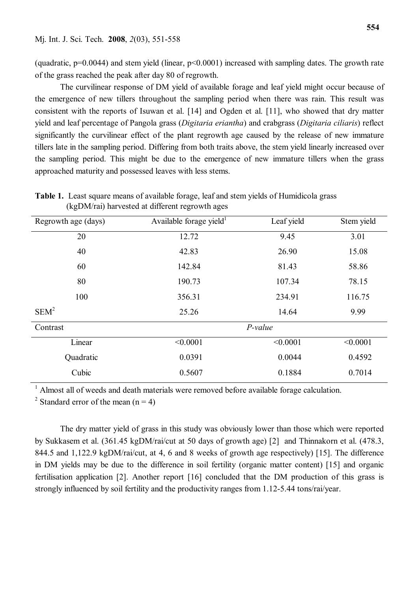(quadratic, p=0.0044) and stem yield (linear, p<0.0001) increased with sampling dates. The growth rate of the grass reached the peak after day 80 of regrowth.

The curvilinear response of DM yield of available forage and leaf yield might occur because of the emergence of new tillers throughout the sampling period when there was rain. This result was consistent with the reports of Isuwan et al. [14] and Ogden et al. [11], who showed that dry matter yield and leaf percentage of Pangola grass (*Digitaria eriantha*) and crabgrass (*Digitaria ciliaris*) reflect significantly the curvilinear effect of the plant regrowth age caused by the release of new immature tillers late in the sampling period. Differing from both traits above, the stem yield linearly increased over the sampling period. This might be due to the emergence of new immature tillers when the grass approached maturity and possessed leaves with less stems.

**Table 1.** Least square means of available forage, leaf and stem yields of Humidicola grass (kgDM/rai) harvested at different regrowth ages

| Regrowth age (days) | Available forage yield <sup>1</sup> | Leaf yield     | Stem yield |  |  |
|---------------------|-------------------------------------|----------------|------------|--|--|
| 20                  | 12.72                               | 9.45           | 3.01       |  |  |
| 40                  | 42.83                               | 15.08<br>26.90 |            |  |  |
| 60                  | 142.84                              | 81.43          |            |  |  |
| 80                  | 190.73                              | 107.34         | 78.15      |  |  |
| 100                 | 356.31                              | 234.91         | 116.75     |  |  |
| SEM <sup>2</sup>    | 25.26                               | 14.64          | 9.99       |  |  |
| Contrast            | P-value                             |                |            |  |  |
| Linear              | < 0.0001                            | < 0.0001       | < 0.0001   |  |  |
| Quadratic           | 0.0391                              | 0.0044         | 0.4592     |  |  |
| Cubic               | 0.5607                              | 0.1884         | 0.7014     |  |  |

<sup>1</sup> Almost all of weeds and death materials were removed before available forage calculation.

<sup>2</sup> Standard error of the mean  $(n = 4)$ 

The dry matter yield of grass in this study was obviously lower than those which were reported by Sukkasem et al. (361.45 kgDM/rai/cut at 50 days of growth age) [2] and Thinnakorn et al. (478.3, 844.5 and 1,122.9 kgDM/rai/cut, at 4, 6 and 8 weeks of growth age respectively) [15]. The difference in DM yields may be due to the difference in soil fertility (organic matter content) [15] and organic fertilisation application [2]. Another report [16] concluded that the DM production of this grass is strongly influenced by soil fertility and the productivity ranges from 1.12-5.44 tons/rai/year.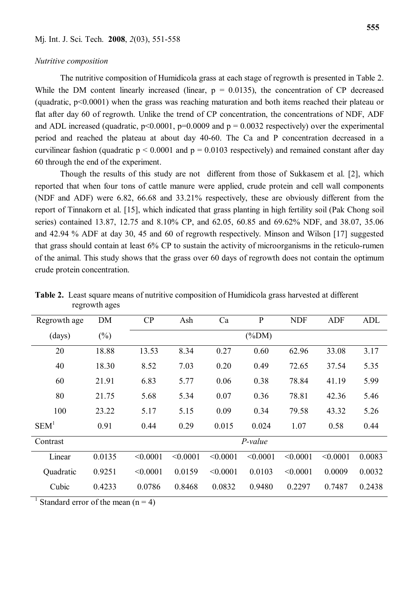#### *Nutritive composition*

The nutritive composition of Humidicola grass at each stage of regrowth is presented in Table 2. While the DM content linearly increased (linear,  $p = 0.0135$ ), the concentration of CP decreased (quadratic, p<0.0001) when the grass was reaching maturation and both items reached their plateau or flat after day 60 of regrowth. Unlike the trend of CP concentration, the concentrations of NDF, ADF and ADL increased (quadratic,  $p<0.0001$ ,  $p=0.0009$  and  $p = 0.0032$  respectively) over the experimental period and reached the plateau at about day 40-60. The Ca and P concentration decreased in a curvilinear fashion (quadratic  $p \le 0.0001$  and  $p = 0.0103$  respectively) and remained constant after day 60 through the end of the experiment.

Though the results of this study are not different from those of Sukkasem et al. [2], which reported that when four tons of cattle manure were applied, crude protein and cell wall components (NDF and ADF) were 6.82, 66.68 and 33.21% respectively, these are obviously different from the report of Tinnakorn et al. [15], which indicated that grass planting in high fertility soil (Pak Chong soil series) contained 13.87, 12.75 and 8.10% CP, and 62.05, 60.85 and 69.62% NDF, and 38.07, 35.06 and 42.94 % ADF at day 30, 45 and 60 of regrowth respectively. Minson and Wilson [17] suggested that grass should contain at least 6% CP to sustain the activity of microorganisms in the reticulo-rumen of the animal. This study shows that the grass over 60 days of regrowth does not contain the optimum crude protein concentration.

| Regrowth age     | <b>DM</b> | CP       | Ash      | Ca       | $\mathbf{P}$ | <b>NDF</b> | ADF      | ADL    |  |
|------------------|-----------|----------|----------|----------|--------------|------------|----------|--------|--|
| (days)           | $(\%)$    |          |          |          | $(\%DM)$     |            |          |        |  |
| 20               | 18.88     | 13.53    | 8.34     | 0.27     | 0.60         | 62.96      | 33.08    | 3.17   |  |
| 40               | 18.30     | 8.52     | 7.03     | 0.20     | 0.49         | 72.65      | 37.54    | 5.35   |  |
| 60               | 21.91     | 6.83     | 5.77     | 0.06     | 0.38         | 78.84      | 41.19    | 5.99   |  |
| 80               | 21.75     | 5.68     | 5.34     | 0.07     | 0.36         | 78.81      | 42.36    | 5.46   |  |
| 100              | 23.22     | 5.17     | 5.15     | 0.09     | 0.34         | 79.58      | 43.32    | 5.26   |  |
| SEM <sup>1</sup> | 0.91      | 0.44     | 0.29     | 0.015    | 0.024        | 1.07       | 0.58     | 0.44   |  |
| Contrast         |           |          | P-value  |          |              |            |          |        |  |
| Linear           | 0.0135    | < 0.0001 | < 0.0001 | < 0.0001 | < 0.0001     | < 0.0001   | < 0.0001 | 0.0083 |  |
| Quadratic        | 0.9251    | < 0.0001 | 0.0159   | < 0.0001 | 0.0103       | < 0.0001   | 0.0009   | 0.0032 |  |
| Cubic            | 0.4233    | 0.0786   | 0.8468   | 0.0832   | 0.9480       | 0.2297     | 0.7487   | 0.2438 |  |

**Table 2.** Least square means of nutritive composition of Humidicola grass harvested at different regrowth ages

<sup>1</sup> Standard error of the mean  $(n = 4)$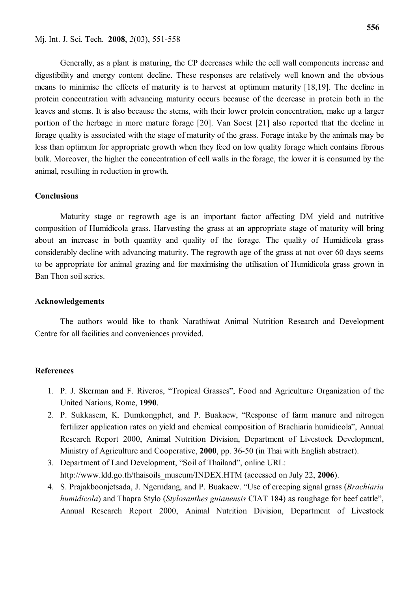Generally, as a plant is maturing, the CP decreases while the cell wall components increase and digestibility and energy content decline. These responses are relatively well known and the obvious

means to minimise the effects of maturity is to harvest at optimum maturity [18,19]. The decline in protein concentration with advancing maturity occurs because of the decrease in protein both in the leaves and stems. It is also because the stems, with their lower protein concentration, make up a larger portion of the herbage in more mature forage [20]. Van Soest [21] also reported that the decline in forage quality is associated with the stage of maturity of the grass. Forage intake by the animals may be less than optimum for appropriate growth when they feed on low quality forage which contains fibrous bulk. Moreover, the higher the concentration of cell walls in the forage, the lower it is consumed by the animal, resulting in reduction in growth.

# **Conclusions**

Maturity stage or regrowth age is an important factor affecting DM yield and nutritive composition of Humidicola grass. Harvesting the grass at an appropriate stage of maturity will bring about an increase in both quantity and quality of the forage. The quality of Humidicola grass considerably decline with advancing maturity. The regrowth age of the grass at not over 60 days seems to be appropriate for animal grazing and for maximising the utilisation of Humidicola grass grown in Ban Thon soil series.

#### **Acknowledgements**

The authors would like to thank Narathiwat Animal Nutrition Research and Development Centre for all facilities and conveniences provided.

#### **References**

- 1. P. J. Skerman and F. Riveros, "Tropical Grasses", Food and Agriculture Organization of the United Nations, Rome, **1990**.
- 2. P. Sukkasem, K. Dumkongphet, and P. Buakaew, "Response of farm manure and nitrogen fertilizer application rates on yield and chemical composition of Brachiaria humidicola", Annual Research Report 2000, Animal Nutrition Division, Department of Livestock Development, Ministry of Agriculture and Cooperative, **2000**, pp. 36-50 (in Thai with English abstract).
- 3. Department of Land Development, "Soil of Thailand", online URL: http://www.ldd.go.th/thaisoils\_museum/INDEX.HTM (accessed on July 22, **2006**).
- 4. S. Prajakboonjetsada, J. Ngerndang, and P. Buakaew. "Use of creeping signal grass (*Brachiaria humidicola*) and Thapra Stylo (*Stylosanthes guianensis* CIAT 184) as roughage for beef cattle", Annual Research Report 2000, Animal Nutrition Division, Department of Livestock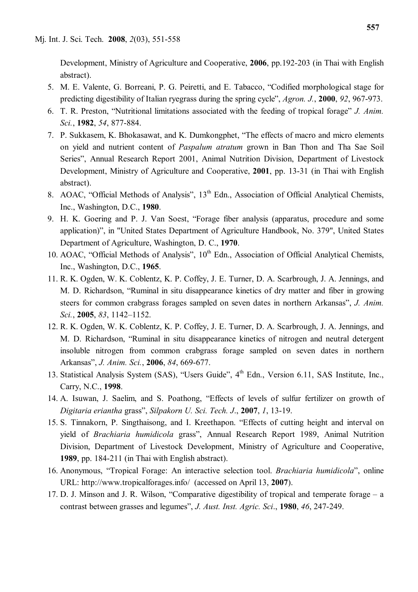Development, Ministry of Agriculture and Cooperative, **2006**, pp.192-203 (in Thai with English abstract).

- 5. M. E. Valente, G. Borreani, P. G. Peiretti, and E. Tabacco, "Codified morphological stage for predicting digestibility of Italian ryegrass during the spring cycle", *Agron. J.*, **2000**, *92*, 967-973.
- 6. T. R. Preston, "Nutritional limitations associated with the feeding of tropical forage" *J. Anim. Sci.*, **1982**, *54*, 877-884.
- 7. P. Sukkasem, K. Bhokasawat, and K. Dumkongphet, "The effects of macro and micro elements on yield and nutrient content of *Paspalum atratum* grown in Ban Thon and Tha Sae Soil Series", Annual Research Report 2001, Animal Nutrition Division, Department of Livestock Development, Ministry of Agriculture and Cooperative, **2001**, pp. 13-31 (in Thai with English abstract).
- 8. AOAC, "Official Methods of Analysis", 13<sup>th</sup> Edn., Association of Official Analytical Chemists, Inc., Washington, D.C., **1980**.
- 9. H. K. Goering and P. J. Van Soest, "Forage fiber analysis (apparatus, procedure and some application)", in "United States Department of Agriculture Handbook, No. 379", United States Department of Agriculture, Washington, D. C., **1970**.
- 10. AOAC, "Official Methods of Analysis",  $10<sup>th</sup>$  Edn., Association of Official Analytical Chemists, Inc., Washington, D.C., **1965**.
- 11. R. K. Ogden, W. K. Coblentz, K. P. Coffey, J. E. Turner, D. A. Scarbrough, J. A. Jennings, and M. D. Richardson, "Ruminal in situ disappearance kinetics of dry matter and fiber in growing steers for common crabgrass forages sampled on seven dates in northern Arkansas", *J. Anim. Sci.*, **2005**, *83*, 1142–1152.
- 12. R. K. Ogden, W. K. Coblentz, K. P. Coffey, J. E. Turner, D. A. Scarbrough, J. A. Jennings, and M. D. Richardson, "Ruminal in situ disappearance kinetics of nitrogen and neutral detergent insoluble nitrogen from common crabgrass forage sampled on seven dates in northern Arkansas", *J. Anim. Sci.*, **2006**, *84*, 669-677.
- 13. Statistical Analysis System (SAS), "Users Guide", 4<sup>th</sup> Edn., Version 6.11, SAS Institute, Inc., Carry, N.C., **1998**.
- 14. A. Isuwan, J. Saelim, and S. Poathong, "Effects of levels of sulfur fertilizer on growth of *Digitaria eriantha* grass", *Silpakorn U. Sci. Tech. J*., **2007**, *1*, 13-19.
- 15. S. Tinnakorn, P. Singthaisong, and I. Kreethapon. "Effects of cutting height and interval on yield of *Brachiaria humidicola* grass", Annual Research Report 1989, Animal Nutrition Division, Department of Livestock Development, Ministry of Agriculture and Cooperative, **1989**, pp. 184-211 (in Thai with English abstract).
- 16. Anonymous, "Tropical Forage: An interactive selection tool. *Brachiaria humidicola*", online URL: http://www.tropicalforages.info/ (accessed on April 13, **2007**).
- 17. D. J. Minson and J. R. Wilson, "Comparative digestibility of tropical and temperate forage a contrast between grasses and legumes", *J. Aust. Inst. Agric. Sci*., **1980**, *46*, 247-249.